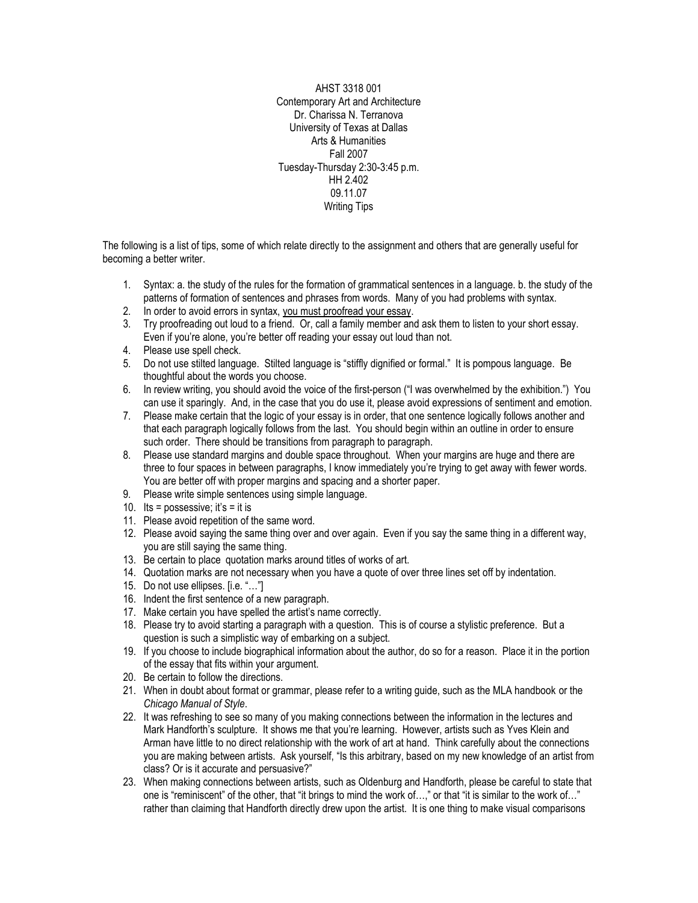AHST 3318 001 Contemporary Art and Architecture Dr. Charissa N. Terranova University of Texas at Dallas Arts & Humanities Fall 2007 Tuesday-Thursday 2:30-3:45 p.m. HH 2.402 09.11.07 Writing Tips

The following is a list of tips, some of which relate directly to the assignment and others that are generally useful for becoming a better writer.

- 1. Syntax: a. the study of the rules for the formation of grammatical sentences in a language. b. the study of the patterns of formation of sentences and phrases from words. Many of you had problems with syntax.
- 2. In order to avoid errors in syntax, you must proofread your essay.
- 3. Try proofreading out loud to a friend. Or, call a family member and ask them to listen to your short essay. Even if you're alone, you're better off reading your essay out loud than not.
- 4. Please use spell check.
- 5. Do not use stilted language. Stilted language is "stiffly dignified or formal." It is pompous language. Be thoughtful about the words you choose.
- 6. In review writing, you should avoid the voice of the first-person ("I was overwhelmed by the exhibition.") You can use it sparingly. And, in the case that you do use it, please avoid expressions of sentiment and emotion.
- 7. Please make certain that the logic of your essay is in order, that one sentence logically follows another and that each paragraph logically follows from the last. You should begin within an outline in order to ensure such order. There should be transitions from paragraph to paragraph.
- 8. Please use standard margins and double space throughout. When your margins are huge and there are three to four spaces in between paragraphs, I know immediately you're trying to get away with fewer words. You are better off with proper margins and spacing and a shorter paper.
- 9. Please write simple sentences using simple language.
- 10. Its = possessive; it's = it is
- 11. Please avoid repetition of the same word.
- 12. Please avoid saying the same thing over and over again. Even if you say the same thing in a different way, you are still saying the same thing.
- 13. Be certain to place quotation marks around titles of works of art.
- 14. Quotation marks are not necessary when you have a quote of over three lines set off by indentation.
- 15. Do not use ellipses. [i.e. "…"]
- 16. Indent the first sentence of a new paragraph.
- 17. Make certain you have spelled the artist's name correctly.
- 18. Please try to avoid starting a paragraph with a question. This is of course a stylistic preference. But a question is such a simplistic way of embarking on a subject.
- 19. If you choose to include biographical information about the author, do so for a reason. Place it in the portion of the essay that fits within your argument.
- 20. Be certain to follow the directions.
- 21. When in doubt about format or grammar, please refer to a writing guide, such as the MLA handbook or the *Chicago Manual of Style*.
- 22. It was refreshing to see so many of you making connections between the information in the lectures and Mark Handforth's sculpture. It shows me that you're learning. However, artists such as Yves Klein and Arman have little to no direct relationship with the work of art at hand. Think carefully about the connections you are making between artists. Ask yourself, "Is this arbitrary, based on my new knowledge of an artist from class? Or is it accurate and persuasive?"
- 23. When making connections between artists, such as Oldenburg and Handforth, please be careful to state that one is "reminiscent" of the other, that "it brings to mind the work of…," or that "it is similar to the work of…" rather than claiming that Handforth directly drew upon the artist. It is one thing to make visual comparisons